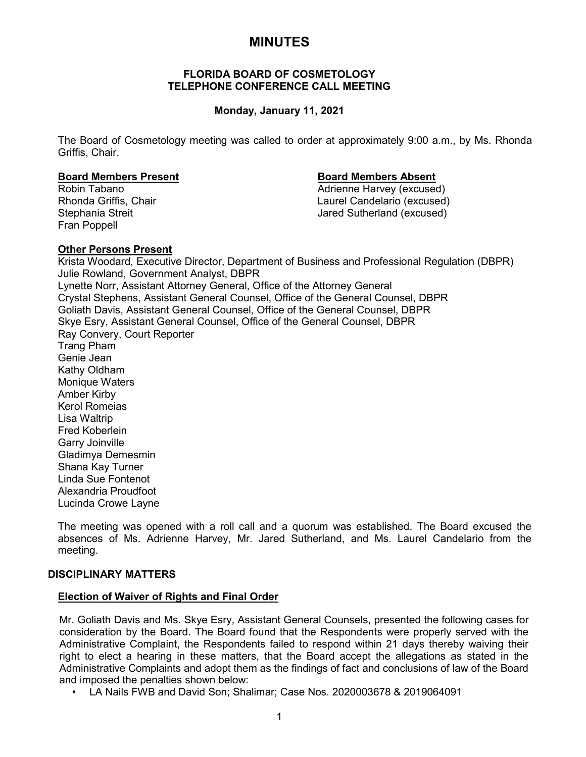# **MINUTES**

# **FLORIDA BOARD OF COSMETOLOGY TELEPHONE CONFERENCE CALL MEETING**

# **Monday, January 11, 2021**

The Board of Cosmetology meeting was called to order at approximately 9:00 a.m., by Ms. Rhonda Griffis, Chair.

## **Board Members Present Board Members Absent**

Fran Poppell

Robin Tabano<br>
Rhonda Griffis. Chair<br>
Rhonda Griffis. Chair<br>
Caurel Candelario (excused) Laurel Candelario (excused) Stephania Streit **Jared Sutherland (excused)** 

# **Other Persons Present**

Krista Woodard, Executive Director, Department of Business and Professional Regulation (DBPR) Julie Rowland, Government Analyst, DBPR Lynette Norr, Assistant Attorney General, Office of the Attorney General Crystal Stephens, Assistant General Counsel, Office of the General Counsel, DBPR Goliath Davis, Assistant General Counsel, Office of the General Counsel, DBPR Skye Esry, Assistant General Counsel, Office of the General Counsel, DBPR Ray Convery, Court Reporter Trang Pham Genie Jean Kathy Oldham Monique Waters Amber Kirby Kerol Romeias Lisa Waltrip Fred Koberlein Garry Joinville Gladimya Demesmin Shana Kay Turner Linda Sue Fontenot Alexandria Proudfoot Lucinda Crowe Layne

The meeting was opened with a roll call and a quorum was established. The Board excused the absences of Ms. Adrienne Harvey, Mr. Jared Sutherland, and Ms. Laurel Candelario from the meeting.

# **DISCIPLINARY MATTERS**

# **Election of Waiver of Rights and Final Order**

Mr. Goliath Davis and Ms. Skye Esry, Assistant General Counsels, presented the following cases for consideration by the Board. The Board found that the Respondents were properly served with the Administrative Complaint, the Respondents failed to respond within 21 days thereby waiving their right to elect a hearing in these matters, that the Board accept the allegations as stated in the Administrative Complaints and adopt them as the findings of fact and conclusions of law of the Board and imposed the penalties shown below:

• LA Nails FWB and David Son; Shalimar; Case Nos. 2020003678 & 2019064091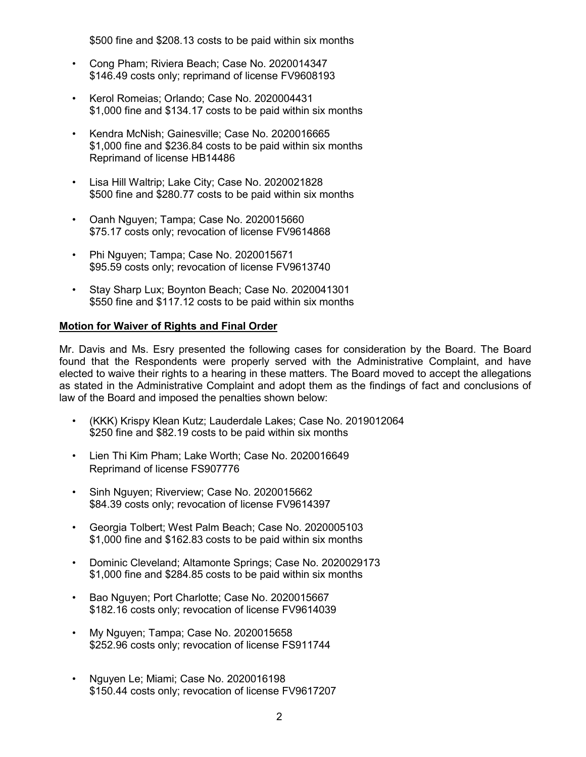\$500 fine and \$208.13 costs to be paid within six months

- Cong Pham; Riviera Beach; Case No. 2020014347 \$146.49 costs only; reprimand of license FV9608193
- Kerol Romeias; Orlando; Case No. 2020004431 \$1,000 fine and \$134.17 costs to be paid within six months
- Kendra McNish; Gainesville; Case No. 2020016665 \$1,000 fine and \$236.84 costs to be paid within six months Reprimand of license HB14486
- Lisa Hill Waltrip; Lake City; Case No. 2020021828 \$500 fine and \$280.77 costs to be paid within six months
- Oanh Nguyen; Tampa; Case No. 2020015660 \$75.17 costs only; revocation of license FV9614868
- Phi Nguyen; Tampa; Case No. 2020015671 \$95.59 costs only; revocation of license FV9613740
- Stay Sharp Lux; Boynton Beach; Case No. 2020041301 \$550 fine and \$117.12 costs to be paid within six months

# **Motion for Waiver of Rights and Final Order**

Mr. Davis and Ms. Esry presented the following cases for consideration by the Board. The Board found that the Respondents were properly served with the Administrative Complaint, and have elected to waive their rights to a hearing in these matters. The Board moved to accept the allegations as stated in the Administrative Complaint and adopt them as the findings of fact and conclusions of law of the Board and imposed the penalties shown below:

- (KKK) Krispy Klean Kutz; Lauderdale Lakes; Case No. 2019012064 \$250 fine and \$82.19 costs to be paid within six months
- Lien Thi Kim Pham; Lake Worth; Case No. 2020016649 Reprimand of license FS907776
- Sinh Nguyen; Riverview; Case No. 2020015662 \$84.39 costs only; revocation of license FV9614397
- Georgia Tolbert; West Palm Beach; Case No. 2020005103 \$1,000 fine and \$162.83 costs to be paid within six months
- Dominic Cleveland; Altamonte Springs; Case No. 2020029173 \$1,000 fine and \$284.85 costs to be paid within six months
- Bao Nguyen; Port Charlotte; Case No. 2020015667 \$182.16 costs only; revocation of license FV9614039
- My Nguyen; Tampa; Case No. 2020015658 \$252.96 costs only; revocation of license FS911744
- Nguyen Le; Miami; Case No. 2020016198 \$150.44 costs only; revocation of license FV9617207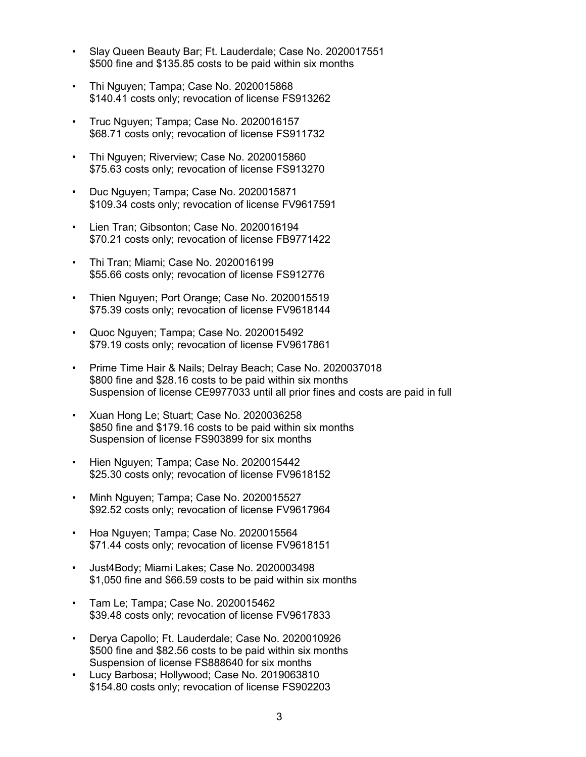- Slay Queen Beauty Bar; Ft. Lauderdale; Case No. 2020017551 \$500 fine and \$135.85 costs to be paid within six months
- Thi Nguyen; Tampa; Case No. 2020015868 \$140.41 costs only; revocation of license FS913262
- Truc Nguyen; Tampa; Case No. 2020016157 \$68.71 costs only; revocation of license FS911732
- Thi Nguyen; Riverview; Case No. 2020015860 \$75.63 costs only; revocation of license FS913270
- Duc Nguyen; Tampa; Case No. 2020015871 \$109.34 costs only; revocation of license FV9617591
- Lien Tran; Gibsonton; Case No. 2020016194 \$70.21 costs only; revocation of license FB9771422
- Thi Tran; Miami; Case No. 2020016199 \$55.66 costs only; revocation of license FS912776
- Thien Nguyen; Port Orange; Case No. 2020015519 \$75.39 costs only; revocation of license FV9618144
- Quoc Nguyen; Tampa; Case No. 2020015492 \$79.19 costs only; revocation of license FV9617861
- Prime Time Hair & Nails; Delray Beach; Case No. 2020037018 \$800 fine and \$28.16 costs to be paid within six months Suspension of license CE9977033 until all prior fines and costs are paid in full
- Xuan Hong Le; Stuart; Case No. 2020036258 \$850 fine and \$179.16 costs to be paid within six months Suspension of license FS903899 for six months
- Hien Nguyen; Tampa; Case No. 2020015442 \$25.30 costs only; revocation of license FV9618152
- Minh Nguyen; Tampa; Case No. 2020015527 \$92.52 costs only; revocation of license FV9617964
- Hoa Nguyen; Tampa; Case No. 2020015564 \$71.44 costs only; revocation of license FV9618151
- Just4Body; Miami Lakes; Case No. 2020003498 \$1,050 fine and \$66.59 costs to be paid within six months
- Tam Le; Tampa; Case No. 2020015462 \$39.48 costs only; revocation of license FV9617833
- Derya Capollo; Ft. Lauderdale; Case No. 2020010926 \$500 fine and \$82.56 costs to be paid within six months Suspension of license FS888640 for six months
- Lucy Barbosa; Hollywood; Case No. 2019063810 \$154.80 costs only; revocation of license FS902203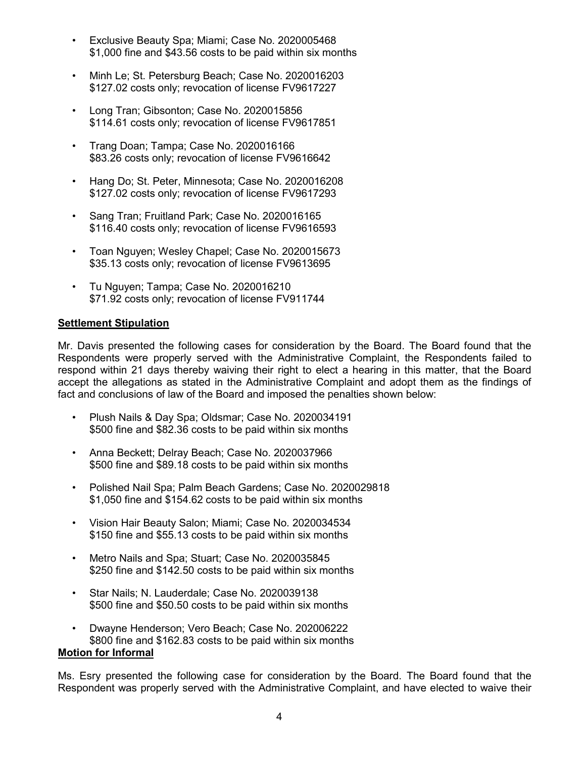- Exclusive Beauty Spa; Miami; Case No. 2020005468 \$1,000 fine and \$43.56 costs to be paid within six months
- Minh Le; St. Petersburg Beach; Case No. 2020016203 \$127.02 costs only; revocation of license FV9617227
- Long Tran; Gibsonton; Case No. 2020015856 \$114.61 costs only; revocation of license FV9617851
- Trang Doan; Tampa; Case No. 2020016166 \$83.26 costs only; revocation of license FV9616642
- Hang Do; St. Peter, Minnesota; Case No. 2020016208 \$127.02 costs only; revocation of license FV9617293
- Sang Tran; Fruitland Park; Case No. 2020016165 \$116.40 costs only; revocation of license FV9616593
- Toan Nguyen; Wesley Chapel; Case No. 2020015673 \$35.13 costs only; revocation of license FV9613695
- Tu Nguyen; Tampa; Case No. 2020016210 \$71.92 costs only; revocation of license FV911744

# **Settlement Stipulation**

Mr. Davis presented the following cases for consideration by the Board. The Board found that the Respondents were properly served with the Administrative Complaint, the Respondents failed to respond within 21 days thereby waiving their right to elect a hearing in this matter, that the Board accept the allegations as stated in the Administrative Complaint and adopt them as the findings of fact and conclusions of law of the Board and imposed the penalties shown below:

- Plush Nails & Day Spa; Oldsmar; Case No. 2020034191 \$500 fine and \$82.36 costs to be paid within six months
- Anna Beckett; Delray Beach; Case No. 2020037966 \$500 fine and \$89.18 costs to be paid within six months
- Polished Nail Spa; Palm Beach Gardens; Case No. 2020029818 \$1,050 fine and \$154.62 costs to be paid within six months
- Vision Hair Beauty Salon; Miami; Case No. 2020034534 \$150 fine and \$55.13 costs to be paid within six months
- Metro Nails and Spa; Stuart; Case No. 2020035845 \$250 fine and \$142.50 costs to be paid within six months
- Star Nails; N. Lauderdale; Case No. 2020039138 \$500 fine and \$50.50 costs to be paid within six months
- Dwayne Henderson; Vero Beach; Case No. 202006222 \$800 fine and \$162.83 costs to be paid within six months **Motion for Informal**

Ms. Esry presented the following case for consideration by the Board. The Board found that the Respondent was properly served with the Administrative Complaint, and have elected to waive their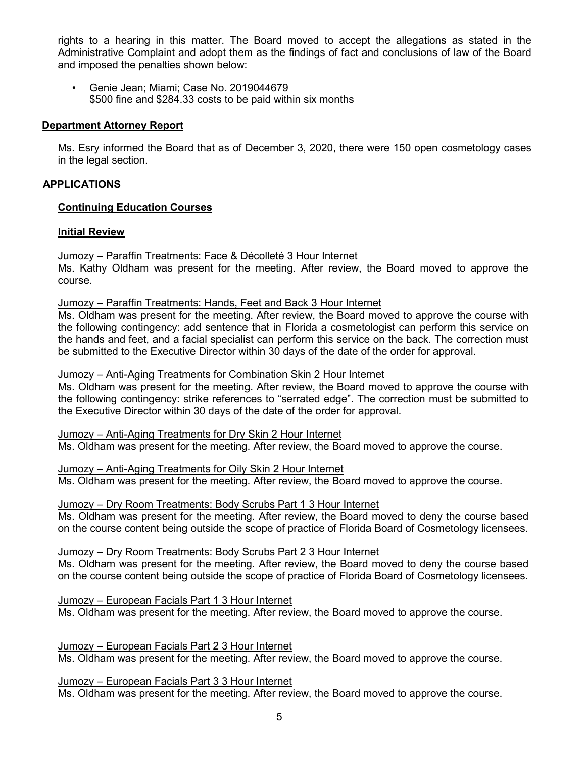rights to a hearing in this matter. The Board moved to accept the allegations as stated in the Administrative Complaint and adopt them as the findings of fact and conclusions of law of the Board and imposed the penalties shown below:

• Genie Jean; Miami; Case No. 2019044679 \$500 fine and \$284.33 costs to be paid within six months

# **Department Attorney Report**

Ms. Esry informed the Board that as of December 3, 2020, there were 150 open cosmetology cases in the legal section.

# **APPLICATIONS**

# **Continuing Education Courses**

# **Initial Review**

Jumozy – Paraffin Treatments: Face & Décolleté 3 Hour Internet

Ms. Kathy Oldham was present for the meeting. After review, the Board moved to approve the course.

Jumozy – Paraffin Treatments: Hands, Feet and Back 3 Hour Internet

Ms. Oldham was present for the meeting. After review, the Board moved to approve the course with the following contingency: add sentence that in Florida a cosmetologist can perform this service on the hands and feet, and a facial specialist can perform this service on the back. The correction must be submitted to the Executive Director within 30 days of the date of the order for approval.

Jumozy – Anti-Aging Treatments for Combination Skin 2 Hour Internet

Ms. Oldham was present for the meeting. After review, the Board moved to approve the course with the following contingency: strike references to "serrated edge". The correction must be submitted to the Executive Director within 30 days of the date of the order for approval.

Jumozy – Anti-Aging Treatments for Dry Skin 2 Hour Internet Ms. Oldham was present for the meeting. After review, the Board moved to approve the course.

Jumozy – Anti-Aging Treatments for Oily Skin 2 Hour Internet Ms. Oldham was present for the meeting. After review, the Board moved to approve the course.

Jumozy – Dry Room Treatments: Body Scrubs Part 1 3 Hour Internet

Ms. Oldham was present for the meeting. After review, the Board moved to deny the course based on the course content being outside the scope of practice of Florida Board of Cosmetology licensees.

Jumozy – Dry Room Treatments: Body Scrubs Part 2 3 Hour Internet

Ms. Oldham was present for the meeting. After review, the Board moved to deny the course based on the course content being outside the scope of practice of Florida Board of Cosmetology licensees.

Jumozy – European Facials Part 1 3 Hour Internet Ms. Oldham was present for the meeting. After review, the Board moved to approve the course.

Jumozy – European Facials Part 2 3 Hour Internet Ms. Oldham was present for the meeting. After review, the Board moved to approve the course.

Jumozy – European Facials Part 3 3 Hour Internet Ms. Oldham was present for the meeting. After review, the Board moved to approve the course.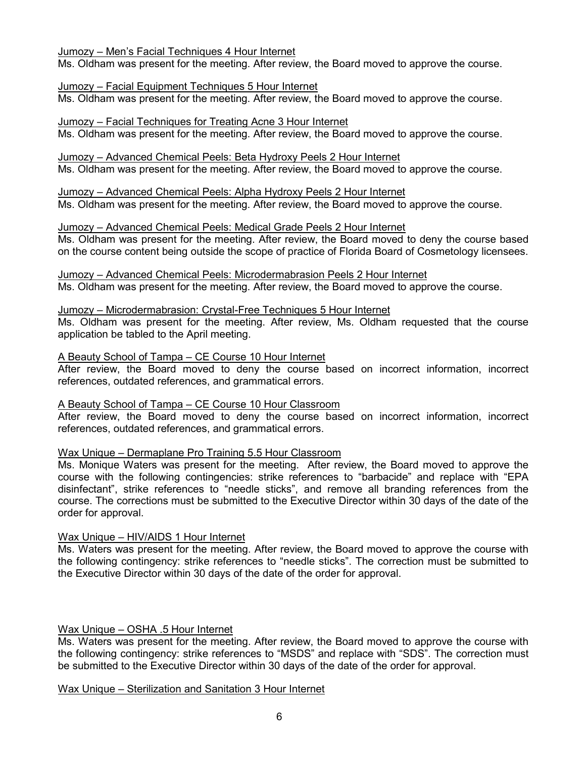# Jumozy – Men's Facial Techniques 4 Hour Internet

Ms. Oldham was present for the meeting. After review, the Board moved to approve the course.

# Jumozy – Facial Equipment Techniques 5 Hour Internet

Ms. Oldham was present for the meeting. After review, the Board moved to approve the course.

# Jumozy – Facial Techniques for Treating Acne 3 Hour Internet

Ms. Oldham was present for the meeting. After review, the Board moved to approve the course.

# Jumozy – Advanced Chemical Peels: Beta Hydroxy Peels 2 Hour Internet

Ms. Oldham was present for the meeting. After review, the Board moved to approve the course.

#### Jumozy – Advanced Chemical Peels: Alpha Hydroxy Peels 2 Hour Internet Ms. Oldham was present for the meeting. After review, the Board moved to approve the course.

# Jumozy – Advanced Chemical Peels: Medical Grade Peels 2 Hour Internet

Ms. Oldham was present for the meeting. After review, the Board moved to deny the course based on the course content being outside the scope of practice of Florida Board of Cosmetology licensees.

# Jumozy – Advanced Chemical Peels: Microdermabrasion Peels 2 Hour Internet Ms. Oldham was present for the meeting. After review, the Board moved to approve the course.

# Jumozy – Microdermabrasion: Crystal-Free Techniques 5 Hour Internet

Ms. Oldham was present for the meeting. After review, Ms. Oldham requested that the course application be tabled to the April meeting.

# A Beauty School of Tampa – CE Course 10 Hour Internet

After review, the Board moved to deny the course based on incorrect information, incorrect references, outdated references, and grammatical errors.

# A Beauty School of Tampa – CE Course 10 Hour Classroom

After review, the Board moved to deny the course based on incorrect information, incorrect references, outdated references, and grammatical errors.

# Wax Unique – Dermaplane Pro Training 5.5 Hour Classroom

Ms. Monique Waters was present for the meeting. After review, the Board moved to approve the course with the following contingencies: strike references to "barbacide" and replace with "EPA disinfectant", strike references to "needle sticks", and remove all branding references from the course. The corrections must be submitted to the Executive Director within 30 days of the date of the order for approval.

# Wax Unique – HIV/AIDS 1 Hour Internet

Ms. Waters was present for the meeting. After review, the Board moved to approve the course with the following contingency: strike references to "needle sticks". The correction must be submitted to the Executive Director within 30 days of the date of the order for approval.

# Wax Unique – OSHA .5 Hour Internet

Ms. Waters was present for the meeting. After review, the Board moved to approve the course with the following contingency: strike references to "MSDS" and replace with "SDS". The correction must be submitted to the Executive Director within 30 days of the date of the order for approval.

# Wax Unique – Sterilization and Sanitation 3 Hour Internet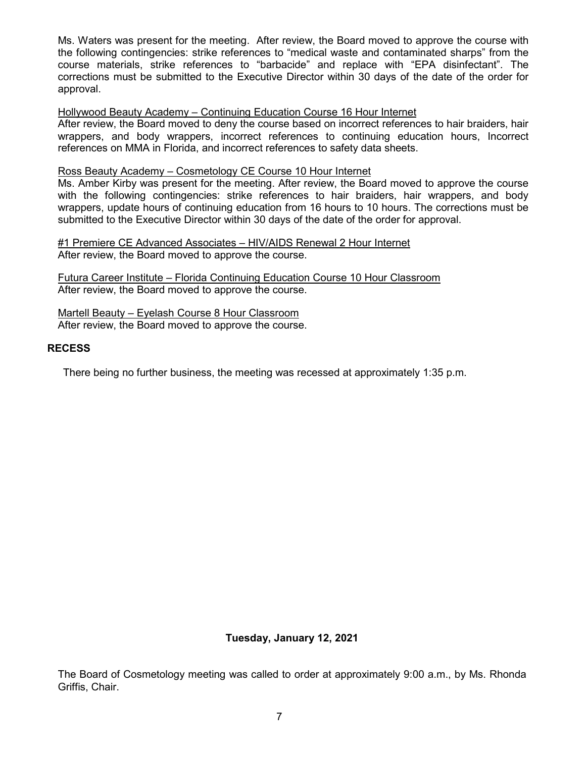Ms. Waters was present for the meeting. After review, the Board moved to approve the course with the following contingencies: strike references to "medical waste and contaminated sharps" from the course materials, strike references to "barbacide" and replace with "EPA disinfectant". The corrections must be submitted to the Executive Director within 30 days of the date of the order for approval.

# Hollywood Beauty Academy – Continuing Education Course 16 Hour Internet

After review, the Board moved to deny the course based on incorrect references to hair braiders, hair wrappers, and body wrappers, incorrect references to continuing education hours, Incorrect references on MMA in Florida, and incorrect references to safety data sheets.

# Ross Beauty Academy – Cosmetology CE Course 10 Hour Internet

Ms. Amber Kirby was present for the meeting. After review, the Board moved to approve the course with the following contingencies: strike references to hair braiders, hair wrappers, and body wrappers, update hours of continuing education from 16 hours to 10 hours. The corrections must be submitted to the Executive Director within 30 days of the date of the order for approval.

#1 Premiere CE Advanced Associates – HIV/AIDS Renewal 2 Hour Internet After review, the Board moved to approve the course.

Futura Career Institute – Florida Continuing Education Course 10 Hour Classroom After review, the Board moved to approve the course.

Martell Beauty – Eyelash Course 8 Hour Classroom After review, the Board moved to approve the course.

# **RECESS**

There being no further business, the meeting was recessed at approximately 1:35 p.m.

# **Tuesday, January 12, 2021**

The Board of Cosmetology meeting was called to order at approximately 9:00 a.m., by Ms. Rhonda Griffis, Chair.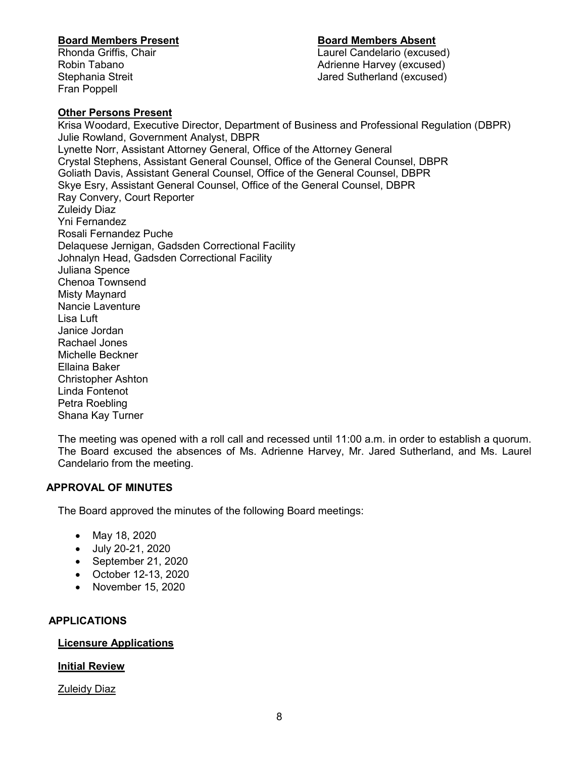# **Board Members Present Board Members Absent**

Laurel Candelario (excused) Robin Tabano **Adrienne Harvey (excused) Robin Tabano** Stephania Streit **Jared Sutherland (excused)** 

# **Other Persons Present**

Fran Poppell

Krisa Woodard, Executive Director, Department of Business and Professional Regulation (DBPR) Julie Rowland, Government Analyst, DBPR Lynette Norr, Assistant Attorney General, Office of the Attorney General Crystal Stephens, Assistant General Counsel, Office of the General Counsel, DBPR Goliath Davis, Assistant General Counsel, Office of the General Counsel, DBPR Skye Esry, Assistant General Counsel, Office of the General Counsel, DBPR Ray Convery, Court Reporter Zuleidy Diaz Yni Fernandez Rosali Fernandez Puche Delaquese Jernigan, Gadsden Correctional Facility Johnalyn Head, Gadsden Correctional Facility Juliana Spence Chenoa Townsend Misty Maynard Nancie Laventure Lisa Luft Janice Jordan Rachael Jones Michelle Beckner Ellaina Baker Christopher Ashton Linda Fontenot Petra Roebling Shana Kay Turner

The meeting was opened with a roll call and recessed until 11:00 a.m. in order to establish a quorum. The Board excused the absences of Ms. Adrienne Harvey, Mr. Jared Sutherland, and Ms. Laurel Candelario from the meeting.

# **APPROVAL OF MINUTES**

The Board approved the minutes of the following Board meetings:

- May 18, 2020
- July 20-21, 2020
- September 21, 2020
- October 12-13, 2020
- November 15, 2020

# **APPLICATIONS**

# **Licensure Applications**

# **Initial Review**

Zuleidy Diaz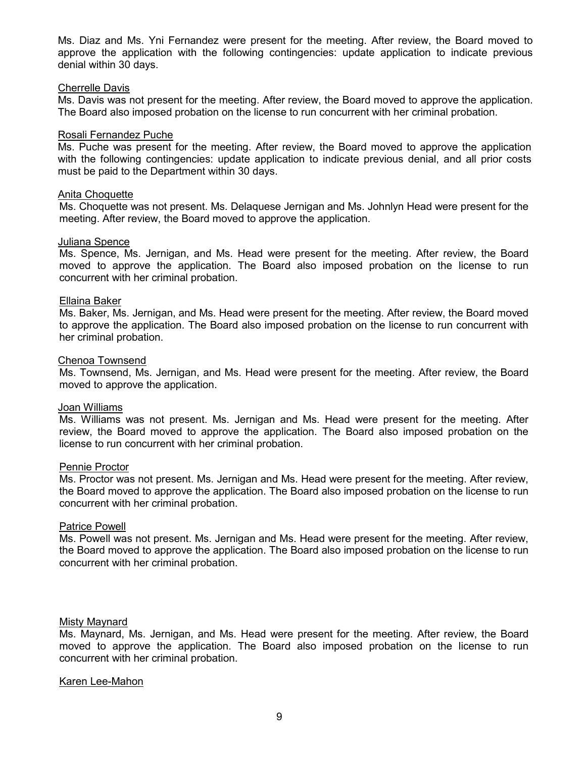Ms. Diaz and Ms. Yni Fernandez were present for the meeting. After review, the Board moved to approve the application with the following contingencies: update application to indicate previous denial within 30 days.

#### Cherrelle Davis

Ms. Davis was not present for the meeting. After review, the Board moved to approve the application. The Board also imposed probation on the license to run concurrent with her criminal probation.

## Rosali Fernandez Puche

Ms. Puche was present for the meeting. After review, the Board moved to approve the application with the following contingencies: update application to indicate previous denial, and all prior costs must be paid to the Department within 30 days.

## Anita Choquette

Ms. Choquette was not present. Ms. Delaquese Jernigan and Ms. Johnlyn Head were present for the meeting. After review, the Board moved to approve the application.

## Juliana Spence

Ms. Spence, Ms. Jernigan, and Ms. Head were present for the meeting. After review, the Board moved to approve the application. The Board also imposed probation on the license to run concurrent with her criminal probation.

## Ellaina Baker

Ms. Baker, Ms. Jernigan, and Ms. Head were present for the meeting. After review, the Board moved to approve the application. The Board also imposed probation on the license to run concurrent with her criminal probation.

## Chenoa Townsend

Ms. Townsend, Ms. Jernigan, and Ms. Head were present for the meeting. After review, the Board moved to approve the application.

#### Joan Williams

Ms. Williams was not present. Ms. Jernigan and Ms. Head were present for the meeting. After review, the Board moved to approve the application. The Board also imposed probation on the license to run concurrent with her criminal probation.

#### Pennie Proctor

Ms. Proctor was not present. Ms. Jernigan and Ms. Head were present for the meeting. After review, the Board moved to approve the application. The Board also imposed probation on the license to run concurrent with her criminal probation.

#### Patrice Powell

Ms. Powell was not present. Ms. Jernigan and Ms. Head were present for the meeting. After review, the Board moved to approve the application. The Board also imposed probation on the license to run concurrent with her criminal probation.

# Misty Maynard

Ms. Maynard, Ms. Jernigan, and Ms. Head were present for the meeting. After review, the Board moved to approve the application. The Board also imposed probation on the license to run concurrent with her criminal probation.

# Karen Lee-Mahon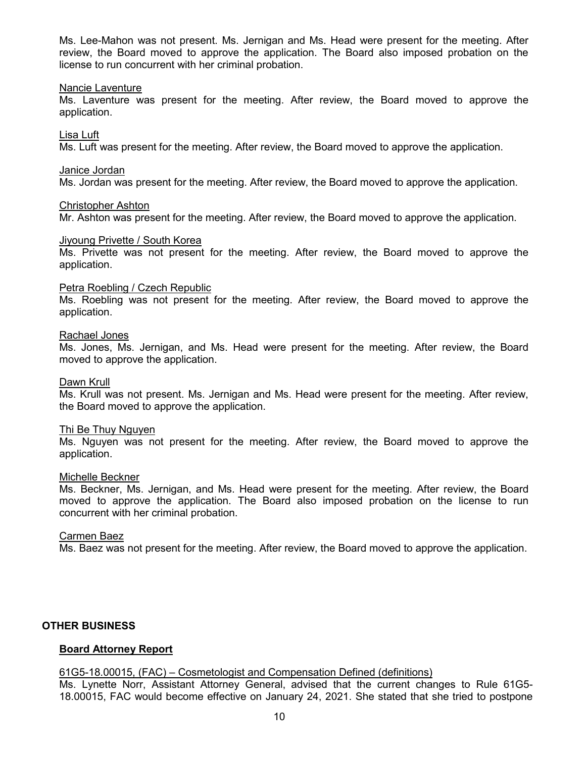Ms. Lee-Mahon was not present. Ms. Jernigan and Ms. Head were present for the meeting. After review, the Board moved to approve the application. The Board also imposed probation on the license to run concurrent with her criminal probation.

## Nancie Laventure

Ms. Laventure was present for the meeting. After review, the Board moved to approve the application.

## Lisa Luft

Ms. Luft was present for the meeting. After review, the Board moved to approve the application.

#### Janice Jordan

Ms. Jordan was present for the meeting. After review, the Board moved to approve the application.

## Christopher Ashton

Mr. Ashton was present for the meeting. After review, the Board moved to approve the application.

## Jiyoung Privette / South Korea

Ms. Privette was not present for the meeting. After review, the Board moved to approve the application.

#### Petra Roebling / Czech Republic

Ms. Roebling was not present for the meeting. After review, the Board moved to approve the application.

## Rachael Jones

Ms. Jones, Ms. Jernigan, and Ms. Head were present for the meeting. After review, the Board moved to approve the application.

#### Dawn Krull

Ms. Krull was not present. Ms. Jernigan and Ms. Head were present for the meeting. After review, the Board moved to approve the application.

# Thi Be Thuy Nguyen

Ms. Nguyen was not present for the meeting. After review, the Board moved to approve the application.

#### Michelle Beckner

Ms. Beckner, Ms. Jernigan, and Ms. Head were present for the meeting. After review, the Board moved to approve the application. The Board also imposed probation on the license to run concurrent with her criminal probation.

# Carmen Baez

Ms. Baez was not present for the meeting. After review, the Board moved to approve the application.

# **OTHER BUSINESS**

# **Board Attorney Report**

# 61G5-18.00015, (FAC) – Cosmetologist and Compensation Defined (definitions)

Ms. Lynette Norr, Assistant Attorney General, advised that the current changes to Rule 61G5- 18.00015, FAC would become effective on January 24, 2021. She stated that she tried to postpone